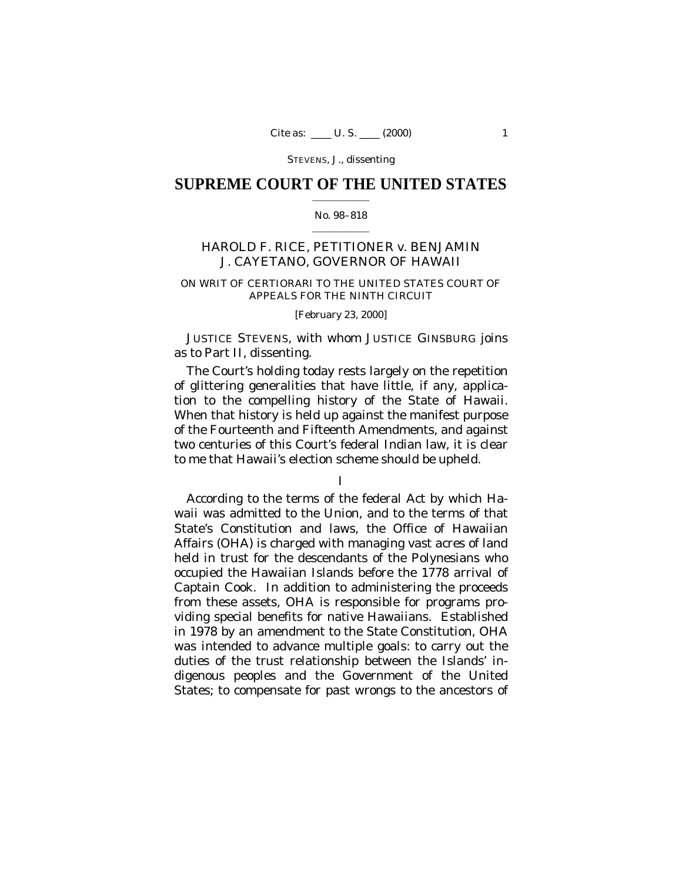## **SUPREME COURT OF THE UNITED STATES**  $\mathcal{L}=\mathcal{L}^{\mathcal{L}}$  , where  $\mathcal{L}^{\mathcal{L}}$

## No. 98–818  $\mathcal{L}=\mathcal{L}^{\mathcal{L}}$  , where  $\mathcal{L}^{\mathcal{L}}$

# HAROLD F. RICE, PETITIONER *v.* BENJAMIN J. CAYETANO, GOVERNOR OF HAWAII

## ON WRIT OF CERTIORARI TO THE UNITED STATES COURT OF APPEALS FOR THE NINTH CIRCUIT

## [February 23, 2000]

JUSTICE STEVENS, with whom JUSTICE GINSBURG joins as to Part II, dissenting.

The Court's holding today rests largely on the repetition of glittering generalities that have little, if any, application to the compelling history of the State of Hawaii. When that history is held up against the manifest purpose of the Fourteenth and Fifteenth Amendments, and against two centuries of this Court's federal Indian law, it is clear to me that Hawaii's election scheme should be upheld.

According to the terms of the federal Act by which Hawaii was admitted to the Union, and to the terms of that State's Constitution and laws, the Office of Hawaiian Affairs (OHA) is charged with managing vast acres of land held in trust for the descendants of the Polynesians who occupied the Hawaiian Islands before the 1778 arrival of Captain Cook. In addition to administering the proceeds from these assets, OHA is responsible for programs providing special benefits for native Hawaiians. Established in 1978 by an amendment to the State Constitution, OHA was intended to advance multiple goals: to carry out the duties of the trust relationship between the Islands' indigenous peoples and the Government of the United States; to compensate for past wrongs to the ancestors of

I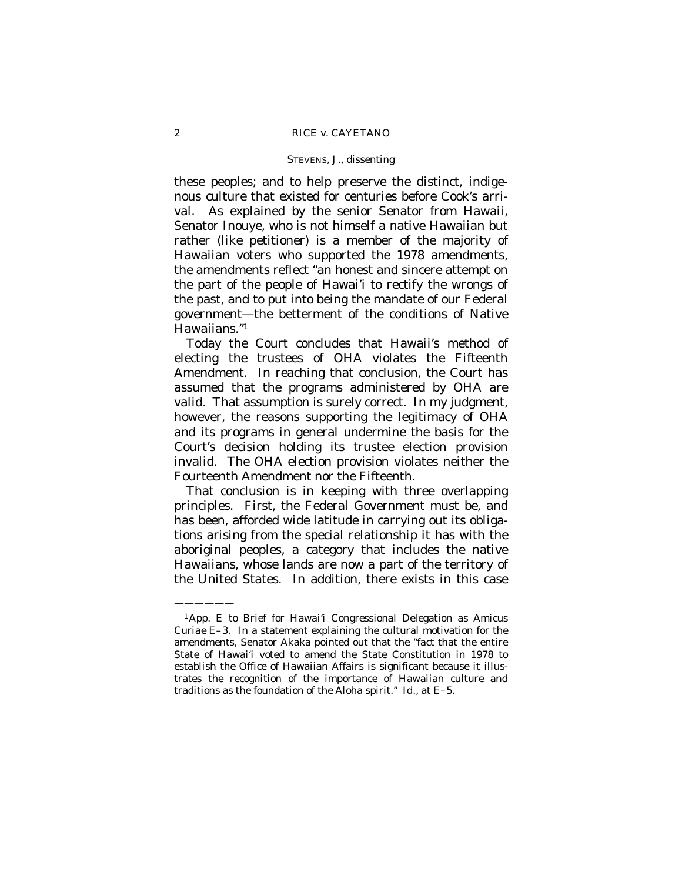these peoples; and to help preserve the distinct, indigenous culture that existed for centuries before Cook's arrival. As explained by the senior Senator from Hawaii, Senator Inouye, who is not himself a native Hawaiian but rather (like petitioner) is a member of the majority of Hawaiian voters who supported the 1978 amendments, the amendments reflect "an honest and sincere attempt on the part of the people of Hawai'i to rectify the wrongs of the past, and to put into being the mandate of our Federal government— the betterment of the conditions of Native Hawaiians."<sup>1</sup>

Today the Court concludes that Hawaii's method of electing the trustees of OHA violates the Fifteenth Amendment. In reaching that conclusion, the Court has assumed that the programs administered by OHA are valid. That assumption is surely correct. In my judgment, however, the reasons supporting the legitimacy of OHA and its programs in general undermine the basis for the Court's decision holding its trustee election provision invalid. The OHA election provision violates neither the Fourteenth Amendment nor the Fifteenth.

That conclusion is in keeping with three overlapping principles. First, the Federal Government must be, and has been, afforded wide latitude in carrying out its obligations arising from the special relationship it has with the aboriginal peoples, a category that includes the native Hawaiians, whose lands are now a part of the territory of the United States. In addition, there exists in this case

<sup>1</sup>App. E to Brief for Hawai'i Congressional Delegation as *Amicus Curiae* E–3. In a statement explaining the cultural motivation for the amendments, Senator Akaka pointed out that the "fact that the entire State of Hawai'i voted to amend the State Constitution in 1978 to establish the Office of Hawaiian Affairs is significant because it illustrates the recognition of the importance of Hawaiian culture and traditions as the foundation of the *Aloha* spirit." *Id.*, at E–5.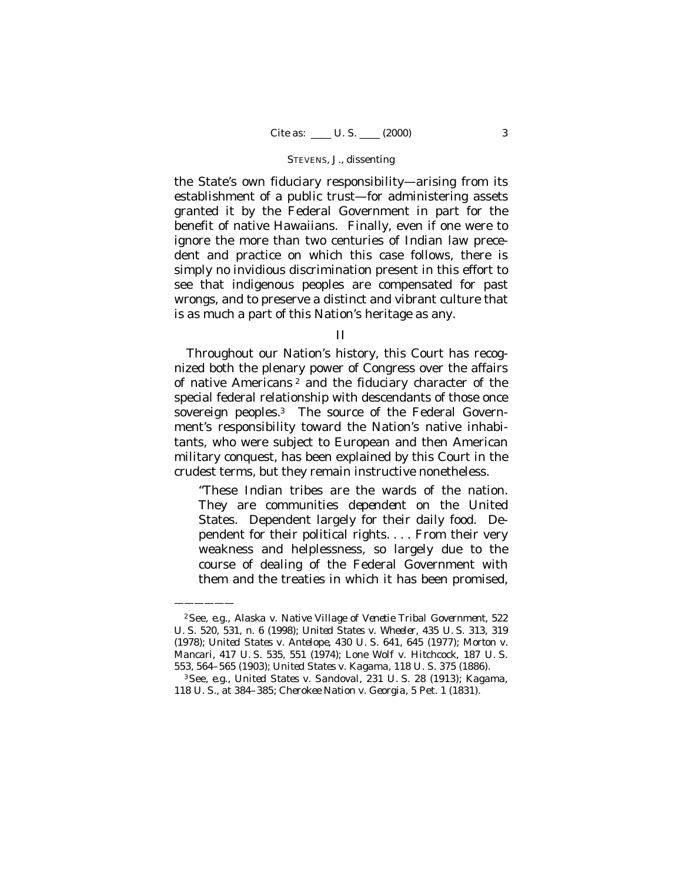the State's own fiduciary responsibility— arising from its establishment of a public trust— for administering assets granted it by the Federal Government in part for the benefit of native Hawaiians. Finally, even if one were to ignore the more than two centuries of Indian law precedent and practice on which this case follows, there is simply no invidious discrimination present in this effort to see that indigenous peoples are compensated for past wrongs, and to preserve a distinct and vibrant culture that is as much a part of this Nation's heritage as any.

II

Throughout our Nation's history, this Court has recognized both the plenary power of Congress over the affairs of native Americans<sup>2</sup> and the fiduciary character of the special federal relationship with descendants of those once sovereign peoples.<sup>3</sup> The source of the Federal Government's responsibility toward the Nation's native inhabitants, who were subject to European and then American military conquest, has been explained by this Court in the crudest terms, but they remain instructive nonetheless.

"These Indian tribes *are* the wards of the nation. They are communities *dependent* on the United States. Dependent largely for their daily food. Dependent for their political rights. . . . From their very weakness and helplessness, so largely due to the course of dealing of the Federal Government with them and the treaties in which it has been promised,

<sup>2</sup>See, *e.g.*, *Alaska* v. *Native Village of Venetie Tribal Government,* 522 U. S. 520, 531, n. 6 (1998); *United States* v. *Wheeler,* 435 U. S. 313, 319 (1978); *United States* v. *Antelope*, 430 U. S. 641, 645 (1977); *Morton* v. *Mancari,* 417 U. S. 535, 551 (1974); *Lone Wolf* v. *Hitchcock*, 187 U. S. 553, 564–565 (1903); *United States* v. *Kagama*, 118 U. S. 375 (1886).

<sup>3</sup>See, *e.g.*, *United States* v. *Sandoval*, 231 U. S. 28 (1913); *Kagama*, 118 U. S., at 384–385; *Cherokee Nation* v. *Georgia*, 5 Pet. 1 (1831).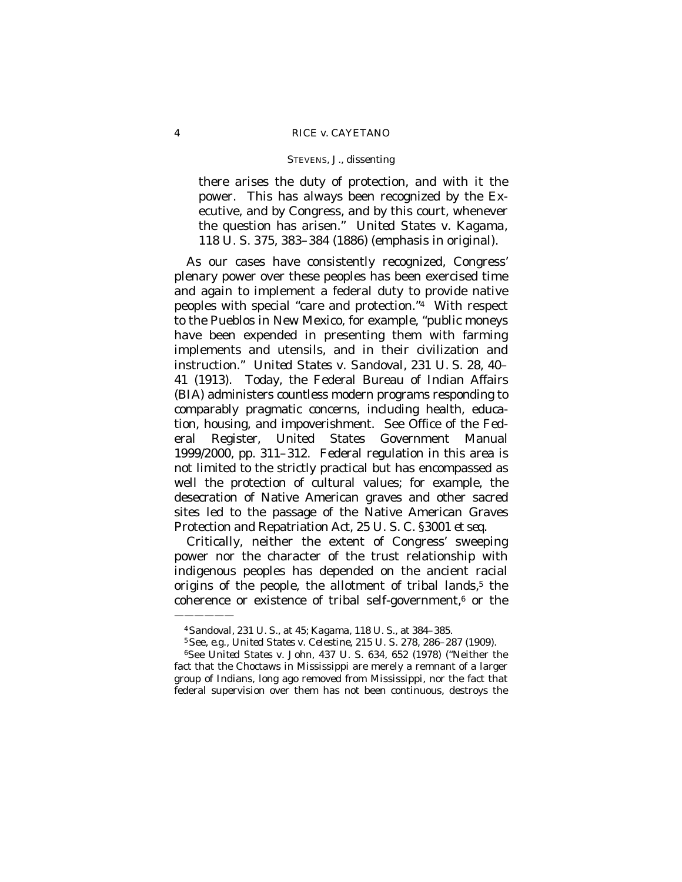there arises the duty of protection, and with it the power. This has always been recognized by the Executive, and by Congress, and by this court, whenever the question has arisen." *United States* v. *Kagama*, 118 U. S. 375, 383–384 (1886) (emphasis in original).

As our cases have consistently recognized, Congress' plenary power over these peoples has been exercised time and again to implement a federal duty to provide native peoples with special "care and protection."<sup>4</sup> With respect to the Pueblos in New Mexico, for example, "public moneys have been expended in presenting them with farming implements and utensils, and in their civilization and instruction." *United States* v. *Sandoval,* 231 U. S. 28, 40– 41 (1913). Today, the Federal Bureau of Indian Affairs (BIA) administers countless modern programs responding to comparably pragmatic concerns, including health, education, housing, and impoverishment. See Office of the Federal Register, United States Government Manual 1999/2000, pp. 311–312. Federal regulation in this area is not limited to the strictly practical but has encompassed as well the protection of cultural values; for example, the desecration of Native American graves and other sacred sites led to the passage of the Native American Graves Protection and Repatriation Act, 25 U. S. C. §3001 *et seq*.

Critically, neither the extent of Congress' sweeping power nor the character of the trust relationship with indigenous peoples has depended on the ancient racial origins of the people, the allotment of tribal lands,<sup>5</sup> the coherence or existence of tribal self-government, $6$  or the

<sup>4</sup>*Sandoval,* 231 U. S., at 45; *Kagama,* 118 U. S., at 384–385.

<sup>5</sup>See, *e.g.*, *United States* v. *Celestine*, 215 U. S. 278, 286–287 (1909).

<sup>6</sup>See *United States* v. *John*, 437 U. S. 634, 652 (1978) ("Neither the fact that the Choctaws in Mississippi are merely a remnant of a larger group of Indians, long ago removed from Mississippi, nor the fact that federal supervision over them has not been continuous, destroys the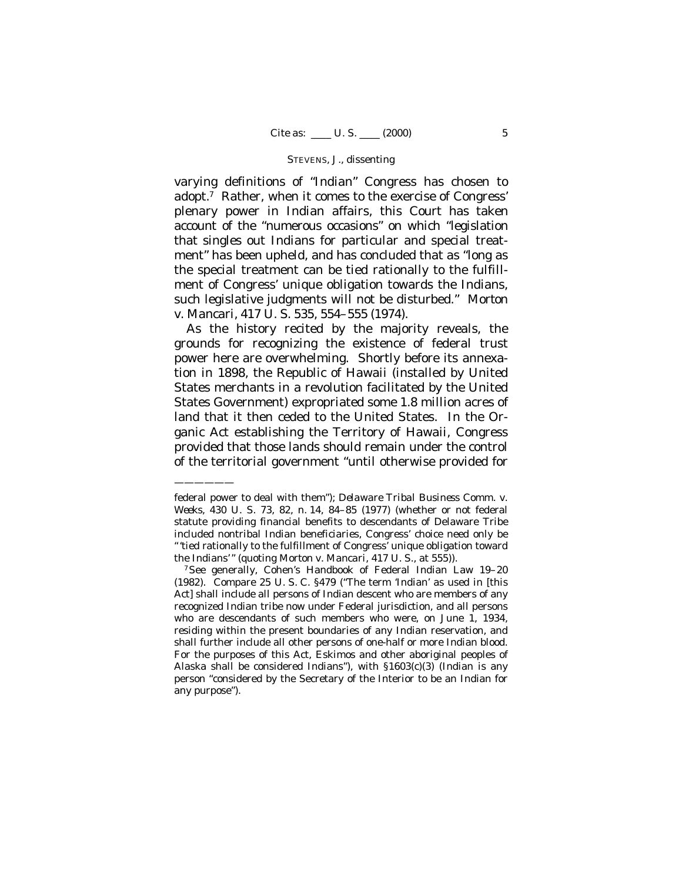varying definitions of "Indian" Congress has chosen to adopt.<sup>7</sup> Rather, when it comes to the exercise of Congress' plenary power in Indian affairs, this Court has taken account of the "numerous occasions" on which "legislation that singles out Indians for particular and special treatment" has been upheld, and has concluded that as "long as the special treatment can be tied rationally to the fulfillment of Congress' unique obligation towards the Indians, such legislative judgments will not be disturbed." *Morton* v. *Mancari,* 417 U. S. 535, 554–555 (1974).

As the history recited by the majority reveals, the grounds for recognizing the existence of federal trust power here are overwhelming. Shortly before its annexation in 1898, the Republic of Hawaii (installed by United States merchants in a revolution facilitated by the United States Government) expropriated some 1.8 million acres of land that it then ceded to the United States. In the Organic Act establishing the Territory of Hawaii, Congress provided that those lands should remain under the control of the territorial government "until otherwise provided for

——————

<sup>7</sup>See generally, Cohen's Handbook of Federal Indian Law 19–20 (1982). Compare 25 U. S. C. §479 ("The term 'Indian' as used in [this Act] shall include all persons of Indian descent who are members of any recognized Indian tribe now under Federal jurisdiction, and all persons who are descendants of such members who were, on June 1, 1934, residing within the present boundaries of any Indian reservation, and shall further include all other persons of one-half or more Indian blood. For the purposes of this Act, Eskimos and other aboriginal peoples of Alaska shall be considered Indians"), with  $$1603(c)(3)$  (Indian is any person "considered by the Secretary of the Interior to be an Indian for any purpose").

federal power to deal with them"); *Delaware Tribal Business Comm.* v. *Weeks*, 430 U. S. 73, 82, n. 14, 84–85 (1977) (whether or not federal statute providing financial benefits to descendants of Delaware Tribe included nontribal Indian beneficiaries, Congress' choice need only be "'tied rationally to the fulfillment of Congress' unique obligation toward the Indians'" (quoting *Morton* v. *Mancari*, 417 U. S., at 555)).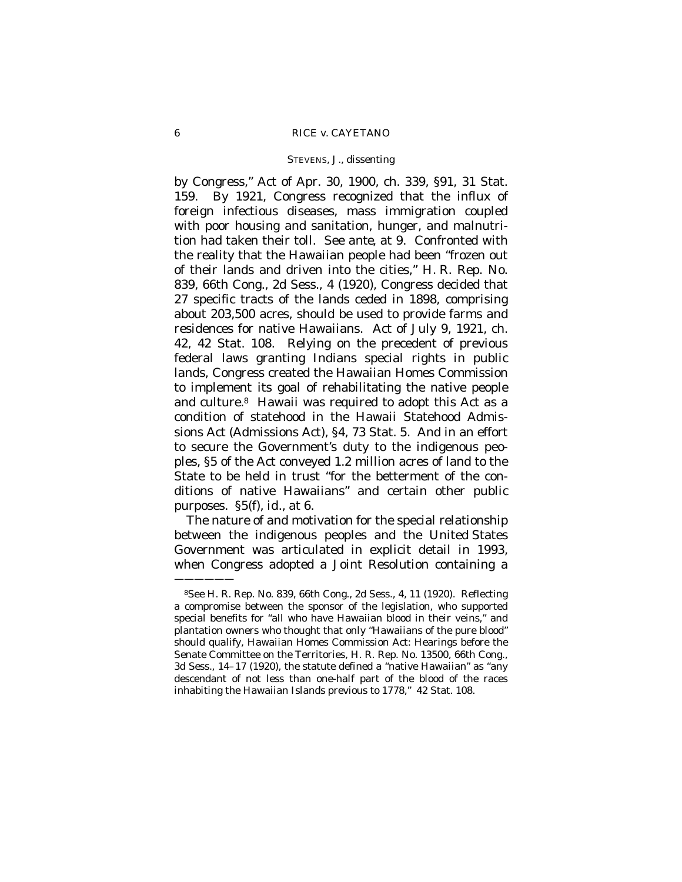## 6 RICE *v.* CAYETANO

## STEVENS, J., dissenting

by Congress," Act of Apr. 30, 1900, ch. 339, §91, 31 Stat. 159. By 1921, Congress recognized that the influx of foreign infectious diseases, mass immigration coupled with poor housing and sanitation, hunger, and malnutrition had taken their toll. See *ante*, at 9. Confronted with the reality that the Hawaiian people had been "frozen out of their lands and driven into the cities," H. R. Rep. No. 839, 66th Cong., 2d Sess., 4 (1920), Congress decided that 27 specific tracts of the lands ceded in 1898, comprising about 203,500 acres, should be used to provide farms and residences for native Hawaiians. Act of July 9, 1921, ch. 42, 42 Stat. 108. Relying on the precedent of previous federal laws granting Indians special rights in public lands, Congress created the Hawaiian Homes Commission to implement its goal of rehabilitating the native people and culture.<sup>8</sup> Hawaii was required to adopt this Act as a condition of statehood in the Hawaii Statehood Admissions Act (Admissions Act), §4, 73 Stat. 5. And in an effort to secure the Government's duty to the indigenous peoples, §5 of the Act conveyed 1.2 million acres of land to the State to be held in trust "for the betterment of the conditions of native Hawaiians" and certain other public purposes. §5(f), *id.*, at 6.

The nature of and motivation for the special relationship between the indigenous peoples and the United States Government was articulated in explicit detail in 1993, when Congress adopted a Joint Resolution containing a

<sup>8</sup>See H. R. Rep. No. 839, 66th Cong., 2d Sess., 4, 11 (1920). Reflecting a compromise between the sponsor of the legislation, who supported special benefits for "all who have Hawaiian blood in their veins," and plantation owners who thought that only "Hawaiians of the pure blood" should qualify, Hawaiian Homes Commission Act: Hearings before the Senate Committee on the Territories*,* H. R. Rep. No. 13500, 66th Cong., 3d Sess., 14–17 (1920), the statute defined a "native Hawaiian" as "any descendant of not less than one-half part of the blood of the races inhabiting the Hawaiian Islands previous to 1778," 42 Stat. 108.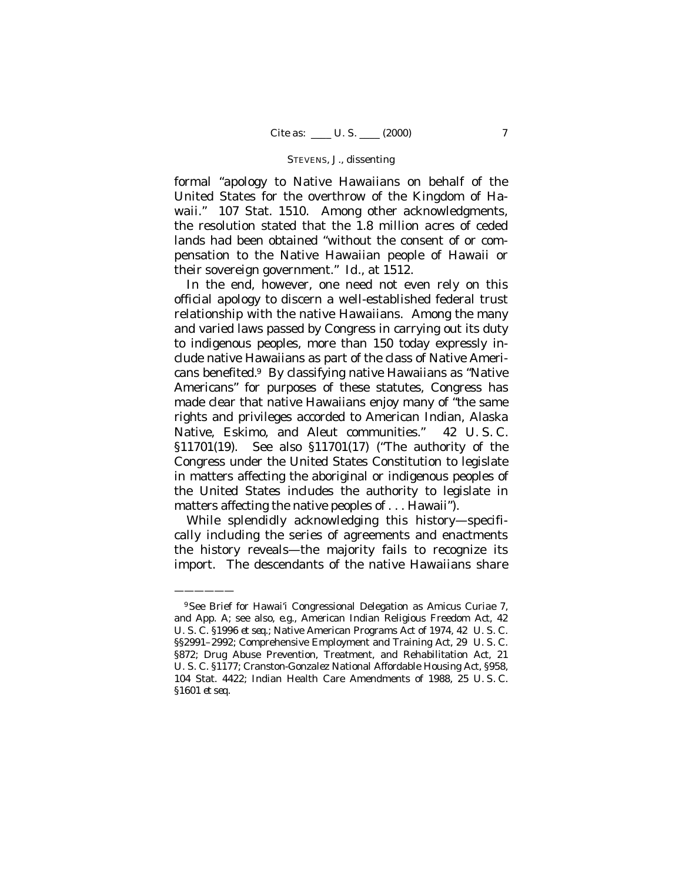formal "apology to Native Hawaiians on behalf of the United States for the overthrow of the Kingdom of Hawaii." 107 Stat. 1510. Among other acknowledgments, the resolution stated that the 1.8 million acres of ceded lands had been obtained "without the consent of or compensation to the Native Hawaiian people of Hawaii or their sovereign government." *Id.,* at 1512.

In the end, however, one need not even rely on this official apology to discern a well-established federal trust relationship with the native Hawaiians. Among the many and varied laws passed by Congress in carrying out its duty to indigenous peoples, more than 150 today expressly include native Hawaiians as part of the class of Native Americans benefited.<sup>9</sup> By classifying native Hawaiians as "Native Americans" for purposes of these statutes, Congress has made clear that native Hawaiians enjoy many of "the same rights and privileges accorded to American Indian, Alaska Native, Eskimo, and Aleut communities." 42 U. S. C. §11701(19). See also §11701(17) ("The authority of the Congress under the United States Constitution to legislate in matters affecting the aboriginal or indigenous peoples of the United States includes the authority to legislate in matters affecting the native peoples of . . . Hawaii").

While splendidly acknowledging this history- specifically including the series of agreements and enactments the history reveals— the majority fails to recognize its import. The descendants of the native Hawaiians share

<sup>9</sup>See Brief for Hawai'i Congressional Delegation as *Amicus Curiae* 7, and App. A; see also, *e.g.*, American Indian Religious Freedom Act, 42 U. S. C. §1996 *et seq*.; Native American Programs Act of 1974, 42 U. S. C. §§2991–2992; Comprehensive Employment and Training Act, 29 U. S. C. §872; Drug Abuse Prevention, Treatment, and Rehabilitation Act, 21 U. S. C. §1177; Cranston-Gonzalez National Affordable Housing Act, §958, 104 Stat. 4422; Indian Health Care Amendments of 1988, 25 U. S. C. §1601 *et seq.*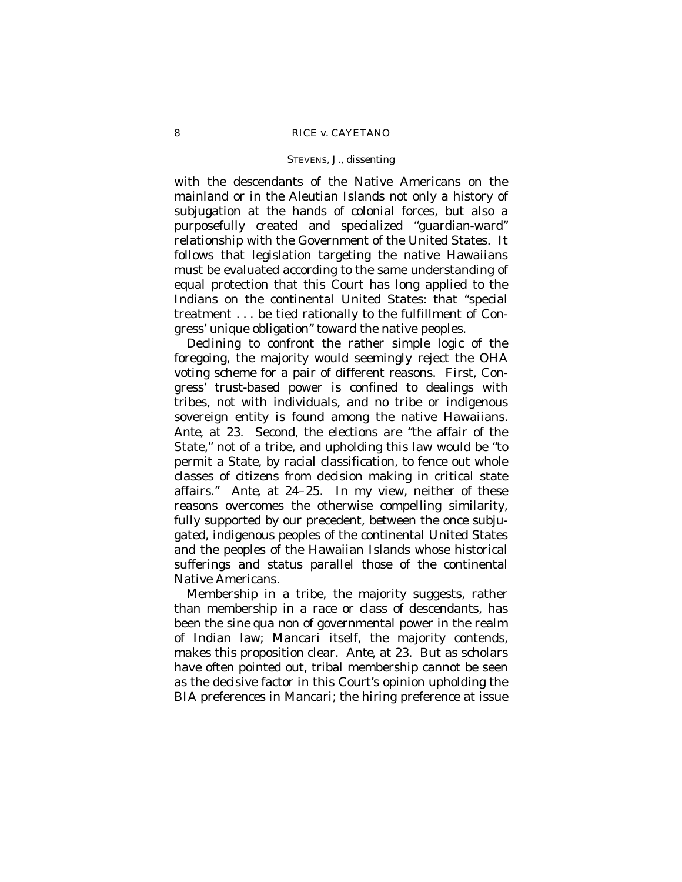with the descendants of the Native Americans on the mainland or in the Aleutian Islands not only a history of subjugation at the hands of colonial forces, but also a purposefully created and specialized "guardian-ward" relationship with the Government of the United States. It follows that legislation targeting the native Hawaiians must be evaluated according to the same understanding of equal protection that this Court has long applied to the Indians on the continental United States: that "special treatment . . . be tied rationally to the fulfillment of Congress' unique obligation" toward the native peoples.

Declining to confront the rather simple logic of the foregoing, the majority would seemingly reject the OHA voting scheme for a pair of different reasons. First, Congress' trust-based power is confined to dealings with tribes, not with individuals, and no tribe or indigenous sovereign entity is found among the native Hawaiians. *Ante*, at 23. Second, the elections are "the affair of the State," not of a tribe, and upholding this law would be "to permit a State, by racial classification, to fence out whole classes of citizens from decision making in critical state affairs." *Ante*, at 24–25. In my view, neither of these reasons overcomes the otherwise compelling similarity, fully supported by our precedent, between the once subjugated, indigenous peoples of the continental United States and the peoples of the Hawaiian Islands whose historical sufferings and status parallel those of the continental Native Americans.

Membership in a tribe, the majority suggests, rather than membership in a race or class of descendants, has been the *sine qua non* of governmental power in the realm of Indian law; *Mancari* itself, the majority contends, makes this proposition clear. *Ante*, at 23. But as scholars have often pointed out, tribal membership cannot be seen as the decisive factor in this Court's opinion upholding the BIA preferences in *Mancari;* the hiring preference at issue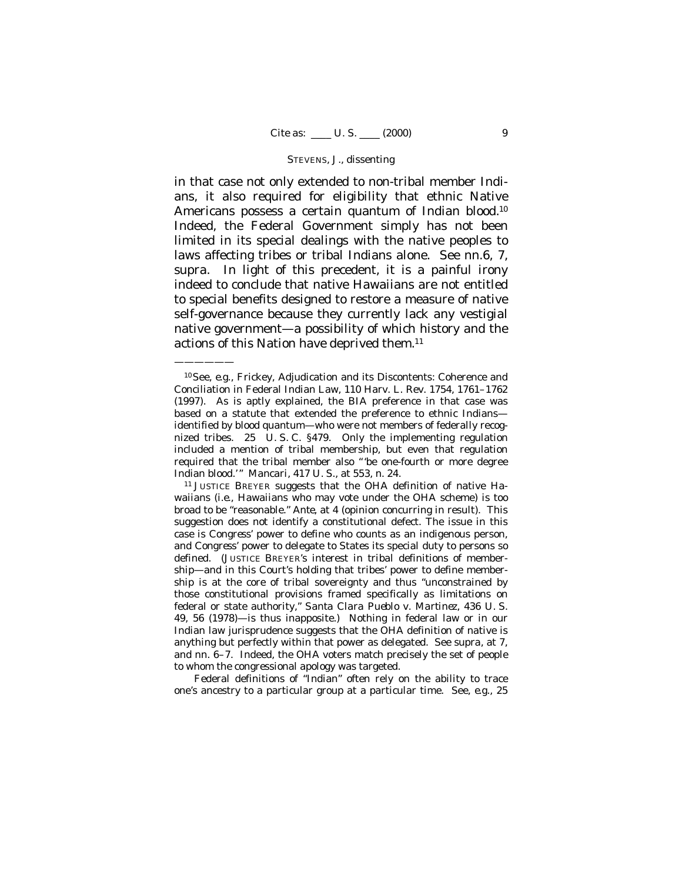in that case not only extended to non-tribal member Indians, it also required for eligibility that ethnic Native Americans possess a certain quantum of Indian blood.<sup>10</sup> Indeed, the Federal Government simply has not been limited in its special dealings with the native peoples to laws affecting tribes or tribal Indians alone. See nn.6, 7, *supra*. In light of this precedent, it is a painful irony indeed to conclude that native Hawaiians are not entitled to special benefits designed to restore a measure of native self-governance because they currently lack any vestigial native government— a possibility of which history and the actions of this Nation have deprived them.<sup>11</sup>

<sup>10</sup>See, *e.g.*, Frickey, Adjudication and its Discontents: Coherence and Conciliation in Federal Indian Law, 110 Harv. L. Rev. 1754, 1761–1762 (1997). As is aptly explained, the BIA preference in that case was based on a statute that extended the preference to ethnic Indians identified by blood quantum— who were not members of federally recognized tribes. 25 U. S. C. §479. Only the implementing regulation included a mention of tribal membership, but even that regulation required that the tribal member also "'be one-fourth or more degree Indian blood.'" *Mancari*, 417 U. S., at 553, n. 24.

——————

<sup>11</sup> JUSTICE BREYER suggests that the OHA definition of native Hawaiians (*i.e.,* Hawaiians who may vote under the OHA scheme) is too broad to be "reasonable." *Ante*, at 4 (opinion concurring in result). This suggestion does not identify a constitutional defect. The issue in this case is *Congress'* power to define who counts as an indigenous person, and *Congress'* power to delegate to States its special duty to persons so defined. (JUSTICE BREYER's interest in *tribal* definitions of membership— and in this Court's holding that tribes' power to define membership is at the core of tribal sovereignty and thus "unconstrained by those constitutional provisions framed specifically as limitations on federal or state authority," *Santa Clara Pueblo* v. *Martinez*, 436 U. S. 49, 56 (1978)— is thus inapposite.) Nothing in federal law or in our Indian law jurisprudence suggests that the OHA definition of native is anything but perfectly within that power as delegated. See *supra,* at 7, and nn. 6–7. Indeed, the OHA voters match precisely the set of people to whom the congressional apology was targeted.

Federal definitions of "Indian" often rely on the ability to trace one's ancestry to a particular group at a particular time. See, *e.g.*, 25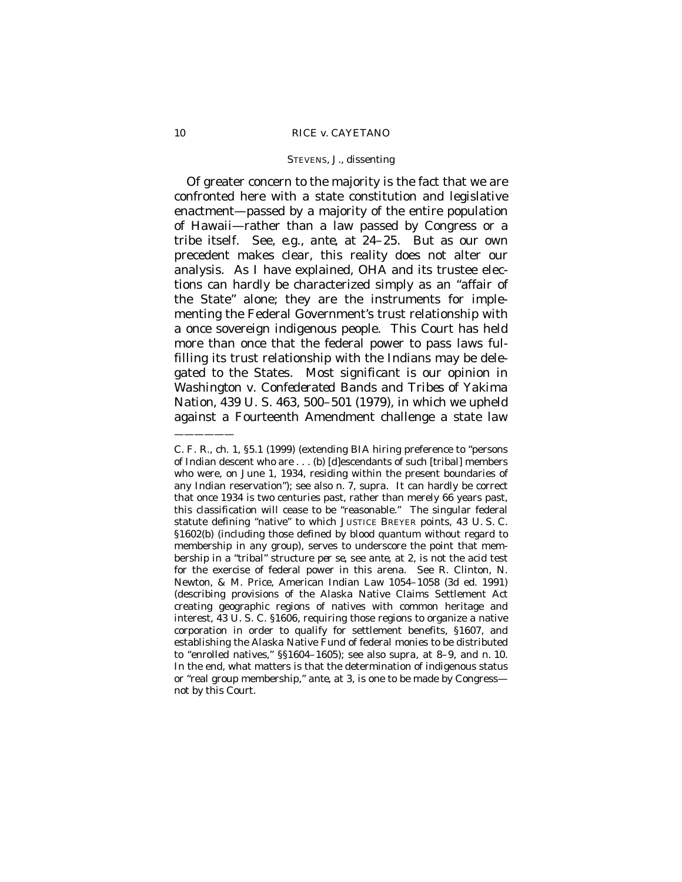Of greater concern to the majority is the fact that we are confronted here with a state constitution and legislative enactment— passed by a majority of the entire population of Hawaii— rather than a law passed by Congress or a tribe itself. See, *e.g.*, *ante*, at 24–25. But as our own precedent makes clear, this reality does not alter our analysis. As I have explained, OHA and its trustee elections can hardly be characterized simply as an "affair of the State" alone; they are the instruments for implementing the Federal Government's trust relationship with a once sovereign indigenous people. This Court has held more than once that the federal power to pass laws fulfilling its trust relationship with the Indians may be delegated to the States. Most significant is our opinion in *Washington* v. *Confederated Bands and Tribes of Yakima Nation*, 439 U. S. 463, 500–501 (1979), in which we upheld against a Fourteenth Amendment challenge a state law ——————

C. F. R., ch. 1, §5.1 (1999) (extending BIA hiring preference to "persons of Indian descent who are . . . (b) [d]escendants of such [tribal] members who were, on June 1, 1934, residing within the present boundaries of any Indian reservation"); see also n. 7, *supra*. It can hardly be correct that once 1934 is two centuries past, rather than merely 66 years past, this classification will cease to be "reasonable." The singular federal statute defining "native" to which JUSTICE BREYER points, 43 U. S. C. §1602(b) (including those defined by blood quantum without regard to membership in any group), serves to underscore the point that membership in a "tribal" structure *per se,* see *ante*, at 2, is not the acid test for the exercise of federal power in this arena. See R. Clinton, N. Newton, & M. Price, American Indian Law 1054–1058 (3d ed. 1991) (describing provisions of the Alaska Native Claims Settlement Act creating geographic regions of natives with common heritage and interest, 43 U. S. C. §1606, requiring those regions to organize a native corporation in order to qualify for settlement benefits, §1607, and establishing the Alaska Native Fund of federal monies to be distributed to "enrolled natives," §§1604–1605); see also *supra,* at 8–9, and n. 10. In the end, what matters is that the determination of indigenous status or "real group membership," *ante*, at 3, is one to be made by Congress not by this Court.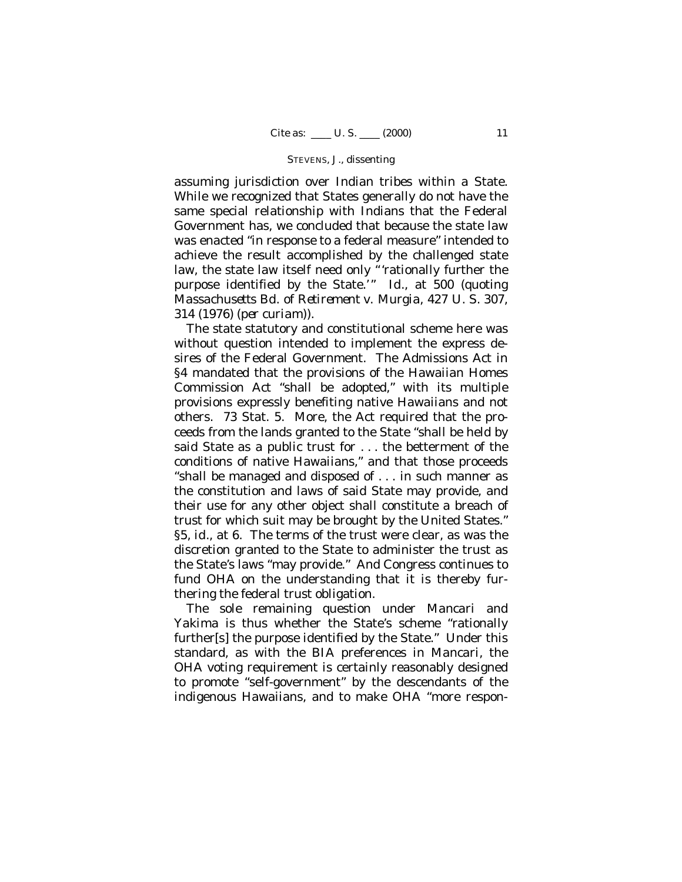assuming jurisdiction over Indian tribes within a State. While we recognized that States generally do not have the same special relationship with Indians that the Federal Government has, we concluded that because the state law was enacted "in response to a federal measure" intended to achieve the result accomplished by the challenged state law, the state law itself need only "rationally further the purpose identified by the State.'" *Id.*, at 500 (quoting *Massachusetts Bd. of Retirement* v. *Murgia*, 427 U. S. 307, 314 (1976) *(per curiam)*).

The state statutory and constitutional scheme here was without question intended to implement the express desires of the Federal Government. The Admissions Act in §4 mandated that the provisions of the Hawaiian Homes Commission Act "shall be adopted," with its multiple provisions expressly benefiting native Hawaiians and not others. 73 Stat. 5. More, the Act required that the proceeds from the lands granted to the State "shall be held by said State as a public trust for . . . the betterment of the conditions of native Hawaiians," and that those proceeds "shall be managed and disposed of . . . in such manner as the constitution and laws of said State may provide, and their use for any other object shall constitute a breach of trust for which suit may be brought by the United States." §5, *id.*, at 6. The terms of the trust were clear, as was the discretion granted to the State to administer the trust as the State's laws "may provide." And Congress continues to fund OHA on the understanding that it is thereby furthering the federal trust obligation.

The sole remaining question under *Mancari* and *Yakima* is thus whether the State's scheme "rationally further[s] the purpose identified by the State." Under this standard, as with the BIA preferences in *Mancari*, the OHA voting requirement is certainly reasonably designed to promote "self-government" by the descendants of the indigenous Hawaiians, and to make OHA "more respon-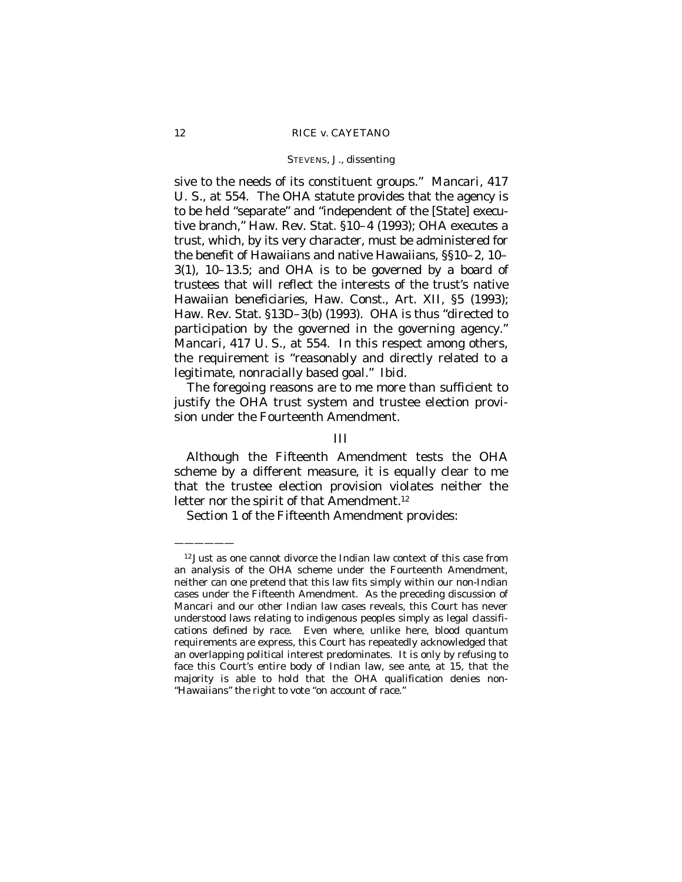sive to the needs of its constituent groups." *Mancari*, 417 U. S., at 554. The OHA statute provides that the agency is to be held "separate" and "independent of the [State] executive branch," Haw. Rev. Stat. §10–4 (1993); OHA executes a trust, which, by its very character, must be administered for the benefit of Hawaiians and native Hawaiians, §§10–2, 10– 3(1), 10–13.5; and OHA is to be governed by a board of trustees that will reflect the interests of the trust's native Hawaiian beneficiaries, Haw. Const., Art. XII, §5 (1993); Haw. Rev. Stat. §13D–3(b) (1993). OHA is thus "directed to participation by the governed in the governing agency." *Mancari*, 417 U. S., at 554. In this respect among others, the requirement is "reasonably and directly related to a legitimate, nonracially based goal." *Ibid.*

The foregoing reasons are to me more than sufficient to justify the OHA trust system and trustee election provision under the Fourteenth Amendment.

## III

Although the Fifteenth Amendment tests the OHA scheme by a different measure, it is equally clear to me that the trustee election provision violates neither the letter nor the spirit of that Amendment.<sup>12</sup>

Section 1 of the Fifteenth Amendment provides:

<sup>&</sup>lt;sup>12</sup> Just as one cannot divorce the Indian law context of this case from an analysis of the OHA scheme under the Fourteenth Amendment, neither can one pretend that this law fits simply within our non-Indian cases under the Fifteenth Amendment. As the preceding discussion of *Mancari* and our other Indian law cases reveals, this Court has never understood laws relating to indigenous peoples simply as legal classifications defined by race. Even where, unlike here, blood quantum requirements are express, this Court has repeatedly acknowledged that an overlapping political interest predominates. It is only by refusing to face this Court's entire body of Indian law, see *ante*, at 15, that the majority is able to hold that the OHA qualification denies non- "Hawaiians" the right to vote "on account of race."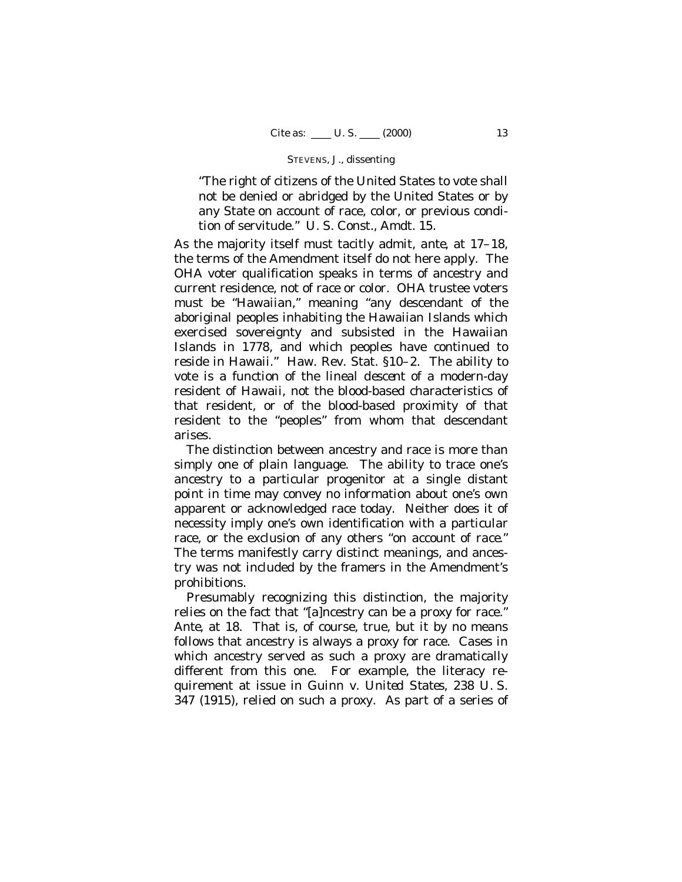"The right of citizens of the United States to vote shall not be denied or abridged by the United States or by any State on account of race, color, or previous condition of servitude." U. S. Const., Amdt. 15.

As the majority itself must tacitly admit, *ante*, at 17–18, the terms of the Amendment itself do not here apply. The OHA voter qualification speaks in terms of ancestry and current residence, not of race or color. OHA trustee voters must be "Hawaiian," meaning "any descendant of the aboriginal peoples inhabiting the Hawaiian Islands which exercised sovereignty and subsisted in the Hawaiian Islands in 1778, and which peoples have continued to reside in Hawaii." Haw. Rev. Stat. §10–2. The ability to vote is a function of the lineal *descent* of a modern-day resident of Hawaii, not the blood-based characteristics of that resident, or of the blood-based proximity of that resident to the "peoples" from whom that descendant arises.

The distinction between ancestry and race is more than simply one of plain language. The ability to trace one's ancestry to a particular progenitor at a single distant point in time may convey no information about one's own apparent or acknowledged race today. Neither does it of necessity imply one's own identification with a particular race, or the exclusion of any others "*on account of race*." The terms manifestly carry distinct meanings, and ancestry was not included by the framers in the Amendment's prohibitions.

Presumably recognizing this distinction, the majority relies on the fact that "[a]ncestry can be a proxy for race." *Ante*, at 18. That is, of course, true, but it by no means follows that ancestry is always a proxy for race. Cases in which ancestry served as such a proxy are dramatically different from this one. For example, the literacy requirement at issue in *Guinn* v. *United States*, 238 U. S. 347 (1915), relied on such a proxy. As part of a series of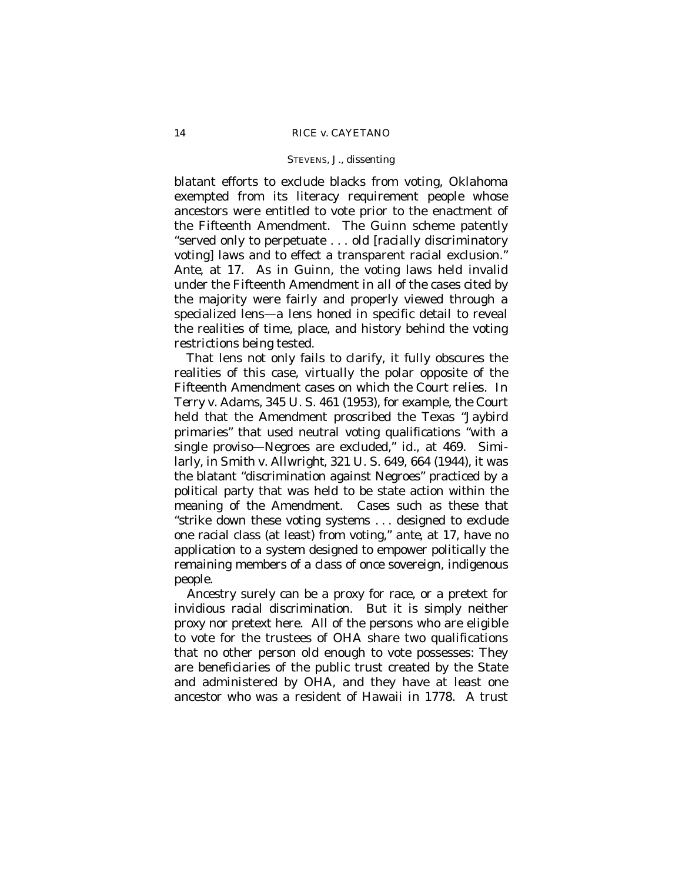blatant efforts to exclude blacks from voting, Oklahoma exempted from its literacy requirement people whose ancestors were entitled to vote prior to the enactment of the Fifteenth Amendment. The *Guinn* scheme patently "served only to perpetuate . . . old [racially discriminatory voting] laws and to effect a transparent racial exclusion." *Ante*, at 17. As in *Guinn*, the voting laws held invalid under the Fifteenth Amendment in all of the cases cited by the majority were fairly and properly viewed through a specialized lens— a lens honed in specific detail to reveal the realities of time, place, and history behind the voting restrictions being tested.

That lens not only fails to clarify, it fully obscures the realities of this case, virtually the polar opposite of the Fifteenth Amendment cases on which the Court relies. In *Terry* v. *Adams,* 345 U. S. 461 (1953), for example, the Court held that the Amendment proscribed the Texas "Jaybird primaries" that used neutral voting qualifications "with a single proviso— Negroes are excluded," *id.,* at 469. Similarly, in *Smith* v. *Allwright,* 321 U. S. 649, 664 (1944), it was the blatant "discrimination against Negroes" practiced by a political party that was held to be state action within the meaning of the Amendment. Cases such as these that "strike down these voting systems . . . designed to exclude one racial class (at least) from voting," *ante,* at 17, have no application to a system designed to empower politically the remaining members of a class of once sovereign, indigenous people.

Ancestry surely can be a proxy for race, or a pretext for invidious racial discrimination. But it is simply neither proxy nor pretext here. All of the persons who are eligible to vote for the trustees of OHA share two qualifications that no other person old enough to vote possesses: They are beneficiaries of the public trust created by the State and administered by OHA, and they have at least one ancestor who was a resident of Hawaii in 1778. A trust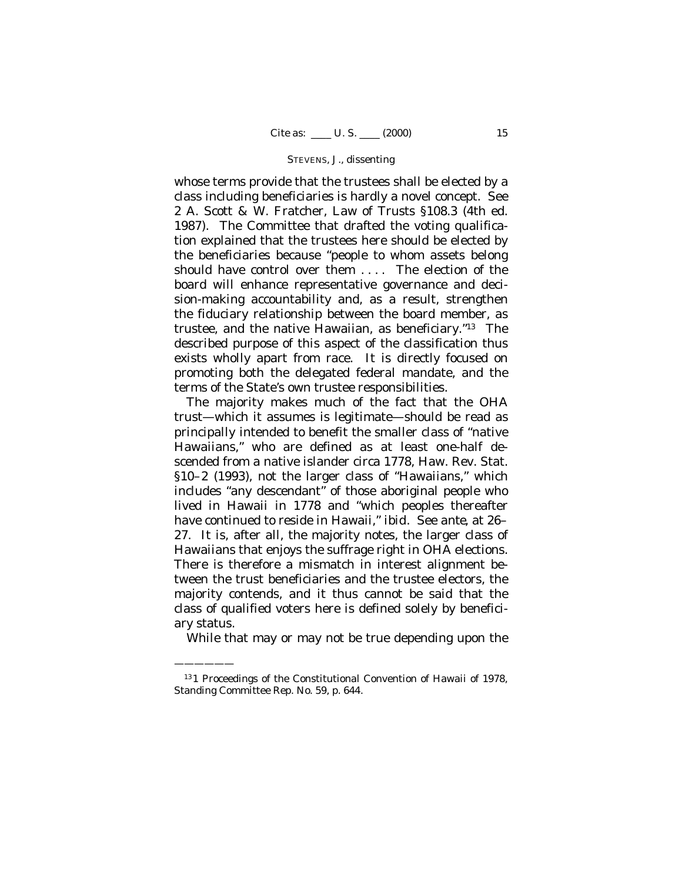whose terms provide that the trustees shall be elected by a class including beneficiaries is hardly a novel concept. See 2 A. Scott & W. Fratcher, Law of Trusts §108.3 (4th ed. 1987). The Committee that drafted the voting qualification explained that the trustees here should be elected by the beneficiaries because "people to whom assets belong should have control over them .... The election of the board will enhance representative governance and decision-making accountability and, as a result, strengthen the fiduciary relationship between the board member, as trustee, and the native Hawaiian, as beneficiary."13 The described purpose of this aspect of the classification thus exists wholly apart from race. It is directly focused on promoting both the delegated federal mandate, and the terms of the State's own trustee responsibilities.

The majority makes much of the fact that the OHA trust— which it assumes is legitimate— should be read as principally intended to benefit the smaller class of "native Hawaiians," who are defined as at least one-half descended from a native islander circa 1778, Haw. Rev. Stat. §10–2 (1993), not the larger class of "Hawaiians," which includes "any descendant" of those aboriginal people who lived in Hawaii in 1778 and "which peoples thereafter have continued to reside in Hawaii," *ibid*. See *ante*, at 26– 27. It is, after all, the majority notes, the larger class of Hawaiians that enjoys the suffrage right in OHA elections. There is therefore a mismatch in interest alignment between the trust beneficiaries and the trustee electors, the majority contends, and it thus cannot be said that the class of qualified voters here is defined solely by beneficiary status.

While that may or may not be true depending upon the

 $\sim$ 

<sup>13</sup> 1 Proceedings of the Constitutional Convention of Hawaii of 1978, Standing Committee Rep. No. 59, p. 644.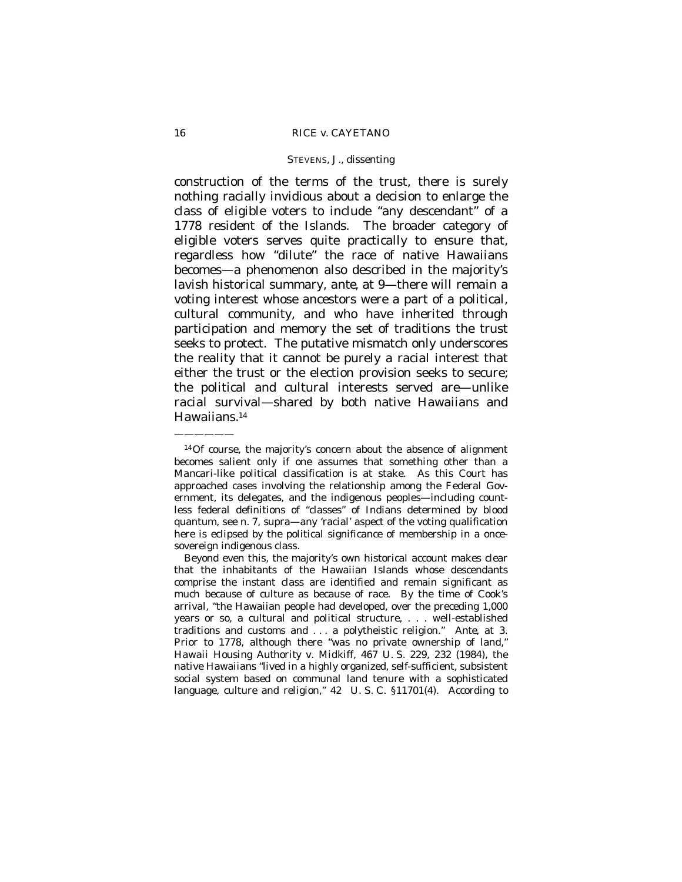construction of the terms of the trust, there is surely nothing racially invidious about a decision to enlarge the class of eligible voters to include "any descendant" of a 1778 resident of the Islands. The broader category of eligible voters serves quite practically to ensure that, regardless how "dilute" the *race* of native Hawaiians becomes— a phenomenon also described in the majority's lavish historical summary, *ante*, at 9— there will remain a voting interest whose ancestors were a part of a political, cultural community, and who have inherited through participation and memory the set of traditions the trust seeks to protect. The putative mismatch only underscores the reality that it cannot be purely a racial interest that either the trust or the election provision seeks to secure; the political and cultural interests served are— unlike *racial* survival— shared by both native Hawaiians and Hawaiians.<sup>14</sup>

Beyond even this, the majority's own historical account makes clear that the inhabitants of the Hawaiian Islands whose descendants comprise the instant class are identified and remain significant as much because of culture as because of race. By the time of Cook's arrival, "the Hawaiian people had developed, over the preceding 1,000 years or so, a cultural and political structure, . . . well-established traditions and customs and . . . a polytheistic religion." *Ante*, at 3. Prior to 1778, although there "was no private ownership of land," *Hawaii Housing Authority* v. *Midkiff,* 467 U. S. 229, 232 (1984)*,* the native Hawaiians "lived in a highly organized, self-sufficient, subsistent social system based on communal land tenure with a sophisticated language, culture and religion," 42 U. S. C. §11701(4). According to

<sup>——————</sup>

<sup>14</sup>Of course, the majority's concern about the absence of alignment becomes salient only if one assumes that something other than a *Mancari*-like political classification is at stake. As this Court has approached cases involving the relationship among the Federal Government, its delegates, and the indigenous peoples— including countless federal definitions of "classes" of Indians determined by blood quantum, see n. 7, *supra*— any 'racial' aspect of the voting qualification here is eclipsed by the political significance of membership in a oncesovereign indigenous class.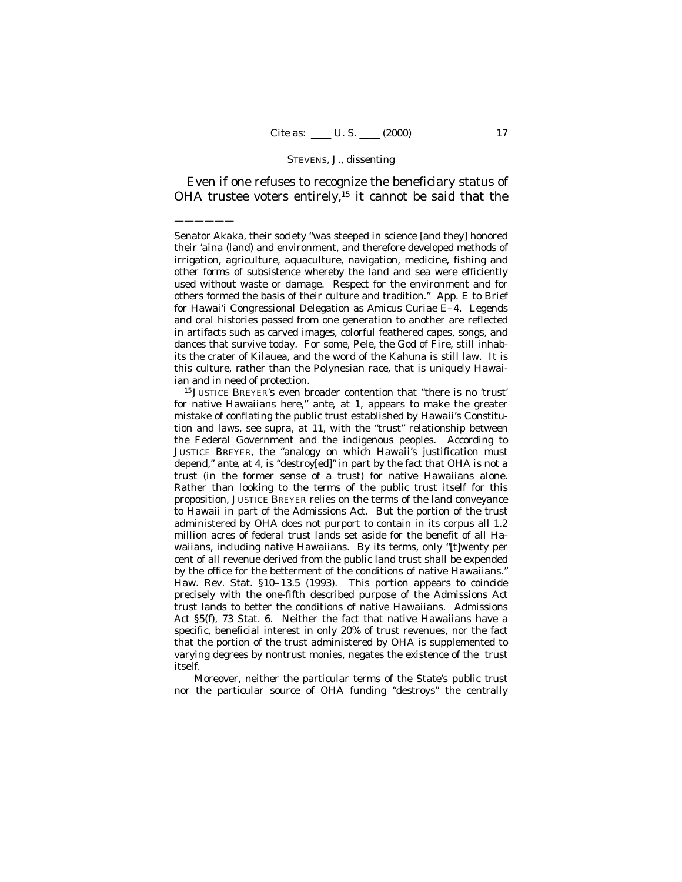Even if one refuses to recognize the beneficiary status of OHA trustee voters entirely,<sup>15</sup> it cannot be said that the

——————

Senator Akaka, their society "was steeped in science [and they] honored their *'aina* (land) and environment, and therefore developed methods of irrigation, agriculture, aquaculture, navigation, medicine, fishing and other forms of subsistence whereby the land and sea were efficiently used without waste or damage. Respect for the environment and for others formed the basis of their culture and tradition." App. E to Brief for Hawai'i Congressional Delegation as *Amicus Curiae* E–4. Legends and oral histories passed from one generation to another are reflected in artifacts such as carved images, colorful feathered capes, songs, and dances that survive today. For some, Pele, the God of Fire, still inhabits the crater of Kilauea, and the word of the Kahuna is still law. It is this culture, rather than the Polynesian race, that is uniquely Hawaiian and in need of protection.

<sup>15</sup> JUSTICE BREYER's even broader contention that "there is no 'trust' for native Hawaiians here," *ante,* at 1, appears to make the greater mistake of conflating the public trust established by Hawaii's Constitution and laws, see *supra,* at 11, with the "trust" relationship between the Federal Government and the indigenous peoples. According to JUSTICE BREYER, the "analogy on which Hawaii's justification must depend," *ante,* at 4, is "destroy[ed]" in part by the fact that OHA is not a trust (in the former sense of a trust) for native Hawaiians alone. Rather than looking to the terms of the public trust itself for this proposition, JUSTICE BREYER relies on the terms of the land conveyance to Hawaii in part of the Admissions Act. But the portion of the trust administered by OHA does not purport to contain in its corpus all 1.2 million acres of federal trust lands set aside for the benefit of all Hawaiians, including native Hawaiians. By its terms, only "[t]wenty per cent of all revenue derived from the public land trust shall be expended by the office for the betterment of the conditions of native Hawaiians." Haw. Rev. Stat. §10–13.5 (1993). This portion appears to coincide precisely with the one-fifth described purpose of the Admissions Act trust lands to better the conditions of native Hawaiians. Admissions Act §5(f), 73 Stat. 6. Neither the fact that native Hawaiians have a specific, beneficial interest in only 20% of trust revenues, nor the fact that the portion of the trust administered by OHA is supplemented to varying degrees by nontrust monies, negates the existence of the trust itself.

Moreover, neither the particular terms of the State's public trust nor the particular source of OHA funding "destroys" the centrally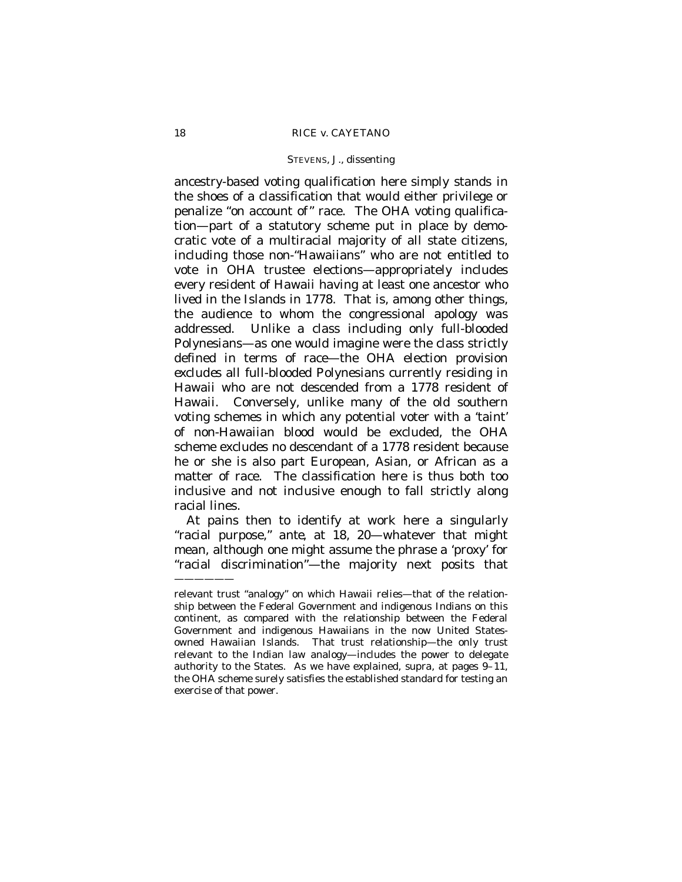ancestry-based voting qualification here simply stands in the shoes of a classification that would either privilege or penalize "on account of" race. The OHA voting qualification— part of a statutory scheme put in place by democratic vote of a multiracial majority of all state citizens, including those non-"Hawaiians" who are not entitled to vote in OHA trustee elections— appropriately includes every resident of Hawaii having at least one ancestor who lived in the Islands in 1778. That is, among other things, the audience to whom the congressional apology was addressed. Unlike a class including only full-blooded Polynesians— as one would imagine were the class strictly defined in terms of race— the OHA election provision *excludes* all full-blooded Polynesians currently residing in Hawaii who are not descended from a 1778 resident of Hawaii. Conversely, unlike many of the old southern voting schemes in which any potential voter with a 'taint' of non-Hawaiian blood would be excluded, the OHA scheme excludes no descendant of a 1778 resident because he or she is also part European, Asian, or African as a matter of race. The classification here is thus both too inclusive and not inclusive enough to fall strictly along racial lines.

At pains then to identify at work here a singularly "racial purpose," *ante*, at 18, 20— whatever that might mean, although one might assume the phrase a 'proxy' for "racial discrimination"— the majority next posits that ——————

relevant trust "analogy" on which Hawaii relies— that of the relationship between the Federal Government and indigenous Indians on this continent, as compared with the relationship between the Federal Government and indigenous Hawaiians in the now United Statesowned Hawaiian Islands. That trust relationship— the only trust relevant to the Indian law analogy— includes the power to delegate authority to the States. As we have explained, *supra*, at pages 9–11, the OHA scheme surely satisfies the established standard for testing an exercise of that power.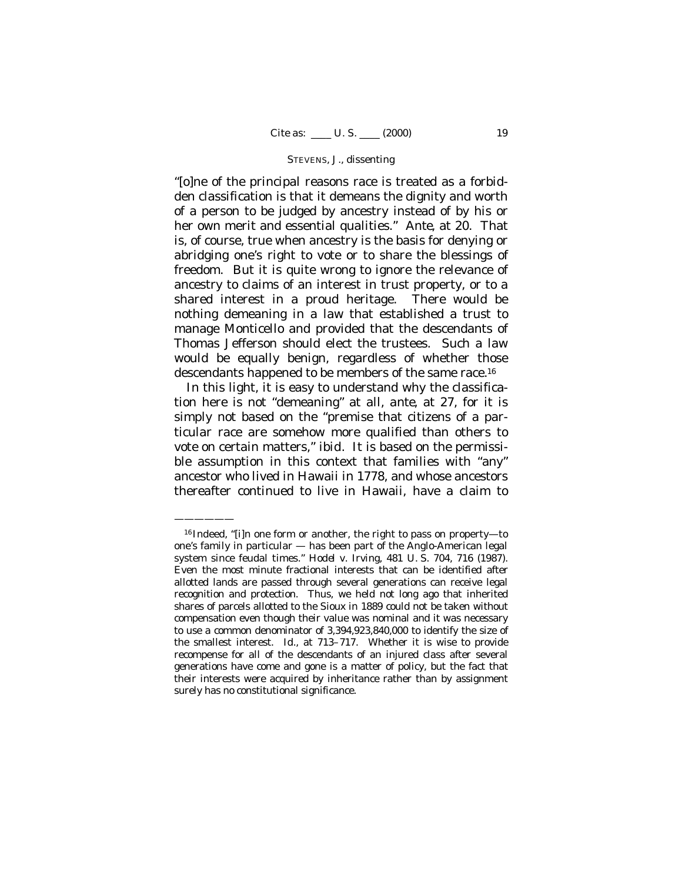"[o]ne of the principal reasons race is treated as a forbidden classification is that it demeans the dignity and worth of a person to be judged by ancestry instead of by his or her own merit and essential qualities." *Ante*, at 20. That is, of course, true when ancestry is the basis for denying or abridging one's right to vote or to share the blessings of freedom. But it is quite wrong to ignore the relevance of ancestry to claims of an interest in trust property, or to a shared interest in a proud heritage. There would be nothing demeaning in a law that established a trust to manage Monticello and provided that the descendants of Thomas Jefferson should elect the trustees. Such a law would be equally benign, regardless of whether those descendants happened to be members of the same race.<sup>16</sup>

In this light, it is easy to understand why the classification here is not "demeaning" at all, *ante*, at 27, for it is simply not based on the "premise that citizens of a particular race are somehow more qualified than others to vote on certain matters," *ibid.* It is based on the permissible assumption in this context that families with "any" ancestor who lived in Hawaii in 1778, and whose ancestors thereafter continued to live in Hawaii, have a claim to

<sup>16</sup> Indeed, "[i]n one form or another, the right to pass on property— to one's family in particular — has been part of the Anglo-American legal system since feudal times." *Hodel* v. *Irving,* 481 U. S. 704, 716 (1987). Even the most minute fractional interests that can be identified after allotted lands are passed through several generations can receive legal recognition and protection. Thus, we held not long ago that inherited shares of parcels allotted to the Sioux in 1889 could not be taken without compensation even though their value was nominal and it was necessary to use a common denominator of 3,394,923,840,000 to identify the size of the smallest interest. *Id.,* at 713–717. Whether it is wise to provide recompense for all of the descendants of an injured class after several generations have come and gone is a matter of policy, but the fact that their interests were acquired by inheritance rather than by assignment surely has no constitutional significance.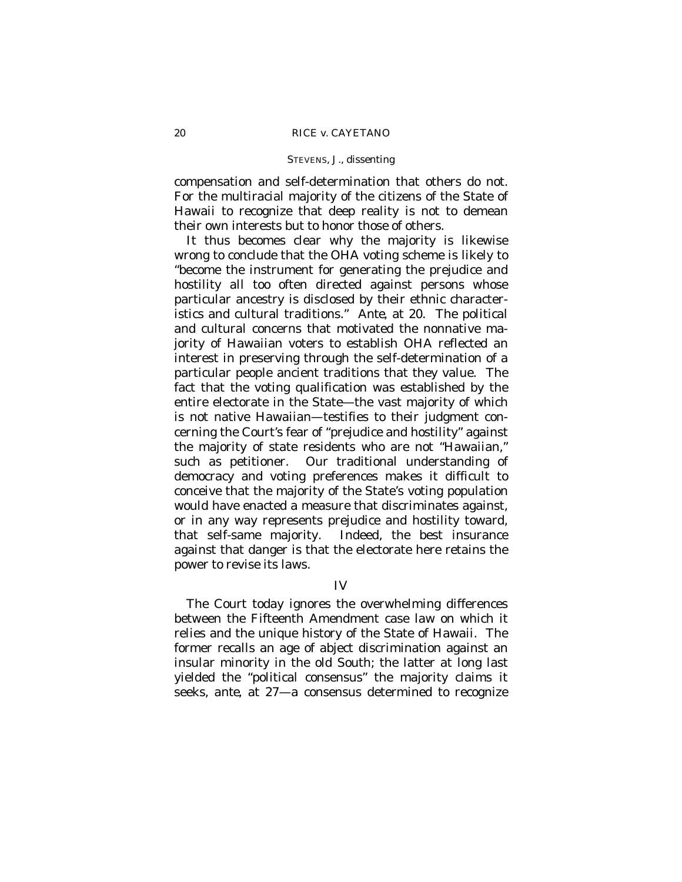compensation and self-determination that others do not. For the multiracial majority of the citizens of the State of Hawaii to recognize that deep reality is not to demean their own interests but to honor those of others.

It thus becomes clear why the majority is likewise wrong to conclude that the OHA voting scheme is likely to "become the instrument for generating the prejudice and hostility all too often directed against persons whose particular ancestry is disclosed by their ethnic characteristics and cultural traditions." *Ante*, at 20. The political and cultural concerns that motivated the nonnative majority of Hawaiian voters to establish OHA reflected an interest in preserving through the self-determination of a particular people ancient traditions that they value. The fact that the voting qualification was established by the entire electorate in the State— the vast majority of which is not native Hawaiian— testifies to their judgment concerning the Court's fear of "prejudice and hostility" against the majority of state residents who are not "Hawaiian," such as petitioner. Our traditional understanding of democracy and voting preferences makes it difficult to conceive that the majority of the State's voting population would have enacted a measure that discriminates against, or in any way represents prejudice and hostility toward, that self-same majority. Indeed, the best insurance against that danger is that the electorate here retains the power to revise its laws.

## IV

The Court today ignores the overwhelming differences between the Fifteenth Amendment case law on which it relies and the unique history of the State of Hawaii. The former recalls an age of abject discrimination against an insular minority in the old South; the latter at long last yielded the "political consensus" the majority claims it seeks, *ante*, at 27— a consensus determined to recognize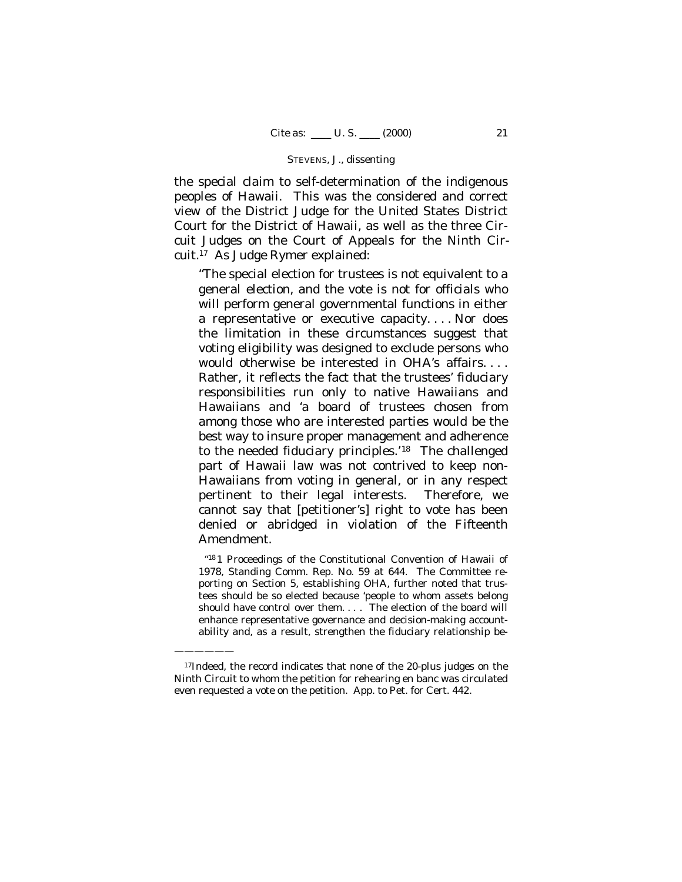the special claim to self-determination of the indigenous peoples of Hawaii. This was the considered and correct view of the District Judge for the United States District Court for the District of Hawaii, as well as the three Circuit Judges on the Court of Appeals for the Ninth Circuit.17 As Judge Rymer explained:

"The special election for trustees is not equivalent to a general election, and the vote is not for officials who will perform general governmental functions in either a representative or executive capacity. . . . Nor does the limitation in these circumstances suggest that voting eligibility was designed to exclude persons who would otherwise be interested in OHA's affairs. . . . Rather, it reflects the fact that the trustees' fiduciary responsibilities run only to native Hawaiians and Hawaiians and 'a board of trustees chosen from among those who are interested parties would be the best way to insure proper management and adherence to the needed fiduciary principles.'18 The challenged part of Hawaii law was not contrived to keep non-Hawaiians from voting in general, or in any respect pertinent to their legal interests. Therefore, we cannot say that [petitioner's] right to vote has been denied or abridged in violation of the Fifteenth Amendment.

"<sup>18</sup> 1 Proceedings of the Constitutional Convention of Hawaii of 1978, Standing Comm. Rep. No. 59 at 644. The Committee reporting on Section 5, establishing OHA, further noted that trustees should be so elected because 'people to whom assets belong should have control over them. . . . The election of the board will enhance representative governance and decision-making accountability and, as a result, strengthen the fiduciary relationship be-

<sup>17</sup>Indeed, the record indicates that none of the 20-plus judges on the Ninth Circuit to whom the petition for rehearing en banc was circulated even requested a vote on the petition. App. to Pet. for Cert. 442.